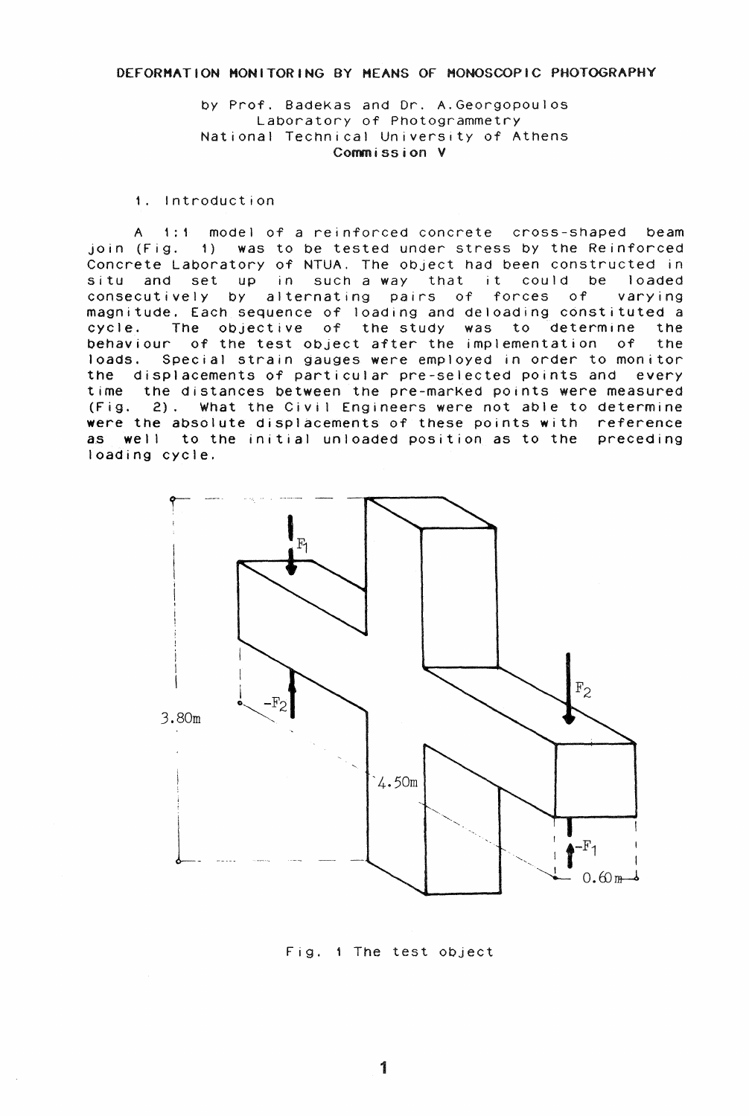## DEFORMATION MONITORING BY MEANS OF HONOSOOPiC PHOTOGRAPHY

by Prof. BadeKas and Or. A.Georgopoulos Laboratory of Photogrammetry National Technical University of Athens Commission V

1. Introduction

A 1:1 model of a reinforced concrete cross-shaped beam join (Fig. 1) was to be tested under stress by the Reinforced Concrete Laboratory of NTUA. The object had been constructed in situ and set up in such a way that it could be loaded<br>consecutively by alternating pairs of forces of varying consecutively by alternating pairs of forces of magnitude. Each sequence of loading and deloading constituted a cycle. The objective of the study was to determine the behaviour of the test object after the implementation of the loads. Special strain gauges were employed in order to monitor the displacements of particular pre-selected points and every time the distances between the pre-marked points were measured (Fig. 2). What the Civil Engineers were not able to determine were the absolute displacements of these points with reference as well to the initial unloaded position as to the preceding loading cycle.



Fig. 1 The test object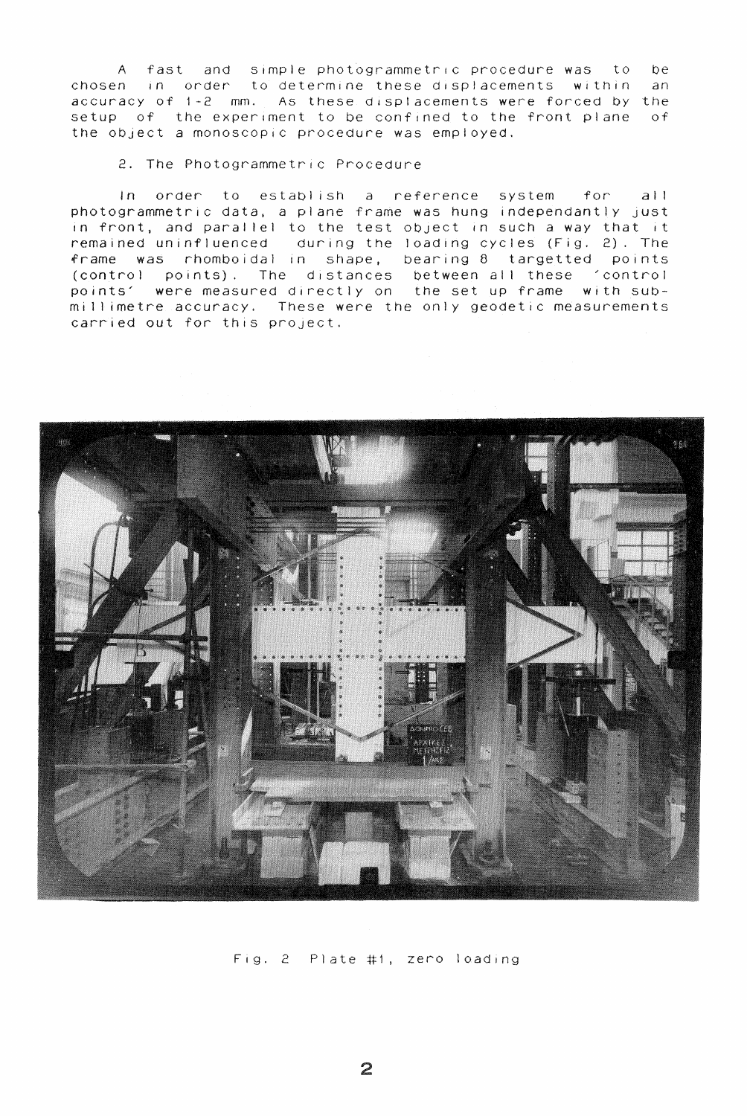A fast and simple photogrammetrlc procedure was to be chosen in order to determine these displacements within an accuracy of 1-2 mm. As these displacements were forced by the setup of the experiment to be confined to the front plane of the object a monoscopic procedure was employed.

2. The Photogrammetric Procedure

In order to establish a reference system for all photogrammetric data, a plane frame was hung independantly just in front, and parallel to the test object in such a way that it remained uninfluenced during the loading cycles (Fig. 2). The frame was rhomboidal in shape, bearing 8 targetted points (control points). The distances between all these 'control points' were measured directly on the set up frame with submillimetre accuracy. These were the only geodetic measurements carried out for this project.



Fig. 2 Plate #1, zero loading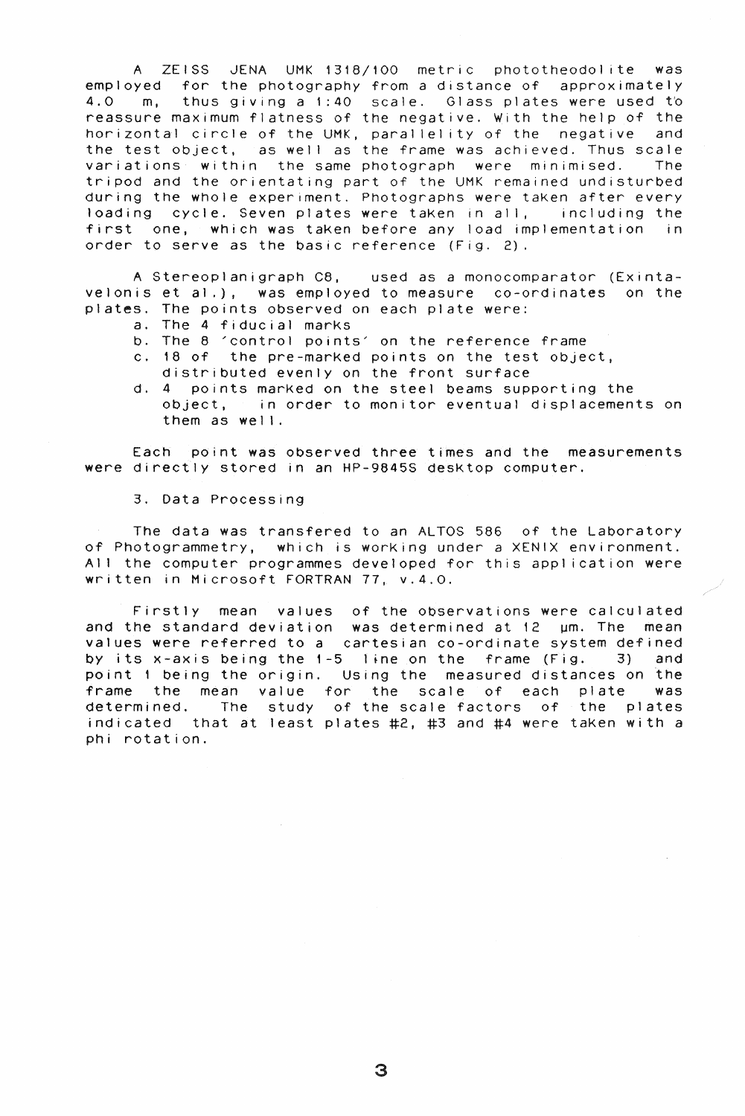A ZEISS JENA UMK 1318/100 metric phototheodol ite was employed for the photography from a distance of approximately 4.0 m, thus giving a 1:40 scale. Glass plates were used to reassure maximum flatness of the negative. With the help of the horizontal circle of the UMK, parallelity of the negative and the test object, as well as the frame was achieved. Thus scale variations within the same photograph were minimised. The tripod and the orientating part of the UMK remained undisturbed during the whole experiment. Photographs were taKen after every loading cycle. Seven plates were taKen in alI, including the first one, which was taken before any load implementation in order to serve as the basic reference (Fig. 2).

A Stereoplanigraph C8, used as a monocomparator (Exintavelonis et al.), was employed to measure co-ordinates on the plates. The points observed on each plate were:

- a. The 4 fiducial marks
- b. The 8 'control points' on the reference frame
- c. 18 of the pre-marked points on the test object,
- distributed evenly on the front surface
- d. 4 pOints marKed on the steel beams supporting the object, in order to monitor eventual displacements on them as well.

Each point was observed three times and the measurements were directly stored in an HP-9845S desktop computer.

## 3. Data Processing

The data was transfered to an ALTOS 586 of the Laboratory of Photogrammetry, which is worKing under a XENIX environment. All the computer programmes developed for this application were written in Microsoft FORTRAN 77, v.4.0.

Firstly mean values of the observations were calculated and the standard deviation was determined at  $12$   $\mu$ m. The mean values were referred to a cartesian co-ordinate system defined by its x-axis being the  $1-5$  line on the frame (Fig. 3) and point 1 being the origin. USing the measured distances on the frame the mean value for the scale of each plate was determined. The study of the scale factors of the plates indicated that at least plates #2, #3 and #4 were taken with a phi rotation.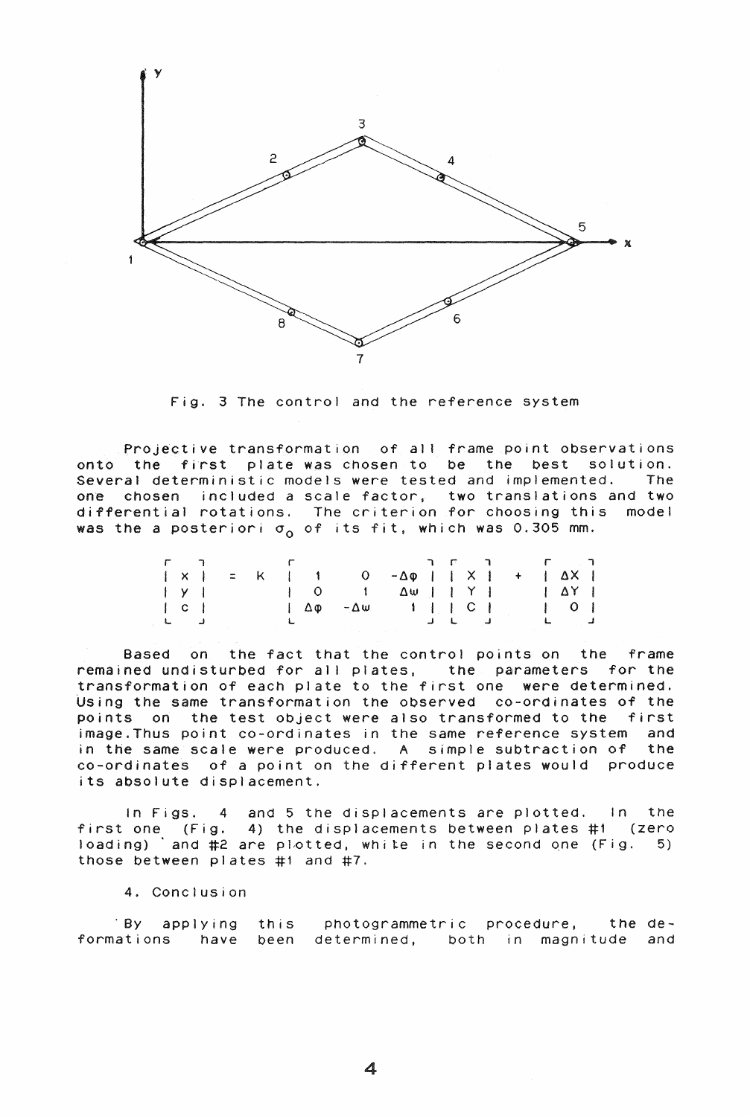

Fig. 3 The control and the reference system

Projective transformation of all frame point observations onto the first plate was chosen to be the best solution.<br>Several deterministic models were tested and implemented. The Several deterministic models were tested and implemented. one chosen included a scale factor, two translations and two differential rotations. The criterion for choosing this model was the a posteriori  $\sigma_0$  of its fit, which was 0.305 mm.

|                                                                       |                   | $\mathbf{r}$ , $\mathbf{r}$ , $\mathbf{r}$ |  |           | r nen ra                           |                                             |                 |  |  |                                                                                                                                                              |  |
|-----------------------------------------------------------------------|-------------------|--------------------------------------------|--|-----------|------------------------------------|---------------------------------------------|-----------------|--|--|--------------------------------------------------------------------------------------------------------------------------------------------------------------|--|
|                                                                       | $\vert$ x $\vert$ |                                            |  | $=$ K   1 |                                    | $0 - \Delta \varphi$     X   +   $\Delta$ X |                 |  |  |                                                                                                                                                              |  |
| y                                                                     |                   |                                            |  |           |                                    |                                             |                 |  |  |                                                                                                                                                              |  |
| c                                                                     |                   |                                            |  |           | $1 \Delta \varphi - \Delta \omega$ |                                             | $1 \mid C \mid$ |  |  | $\begin{array}{ccc} \begin{array}{ccc} \end{array} & \begin{array}{ccc} \ \end{array} & \begin{array}{ccc} \ \end{array} & \begin{array}{ccc} \ \end{array}$ |  |
| $\begin{array}{ccc} \mathbf{L} & \mathbf{I} & \mathbf{J} \end{array}$ |                   |                                            |  |           |                                    | العامل فسأنفخ المستحدث                      |                 |  |  | ال عام الله عنه المستقبل المستقبل المستقبل المستقبل المستقبل المستقبل المستقبل المستقبل المستقبل ال                                                          |  |

Based on the fact that the control points on the frame remained undisturbed for all plates, the parameters for the transformation of each plate to the first one were determined. Using the same transformation the observed co-ordinates of the points on the test object were also transformed to the first image. Thus point co-ordinates in the same reference system and in the same scale were produced. A simple subtraction of the co-ordinates of a point on the different plates would produce its absolute displacement.

In Figs. 4 and 5 the displacements are plotted. In the first one (Fig. 4) the displacements between plates #1 (zero loading) and #2 are plotted, white in the second one (Fig. 5) those between plates #1 and #7.

4. Conclusion

. By applying this photogrammetric procedure. the deformations have been determined, both in magnitude and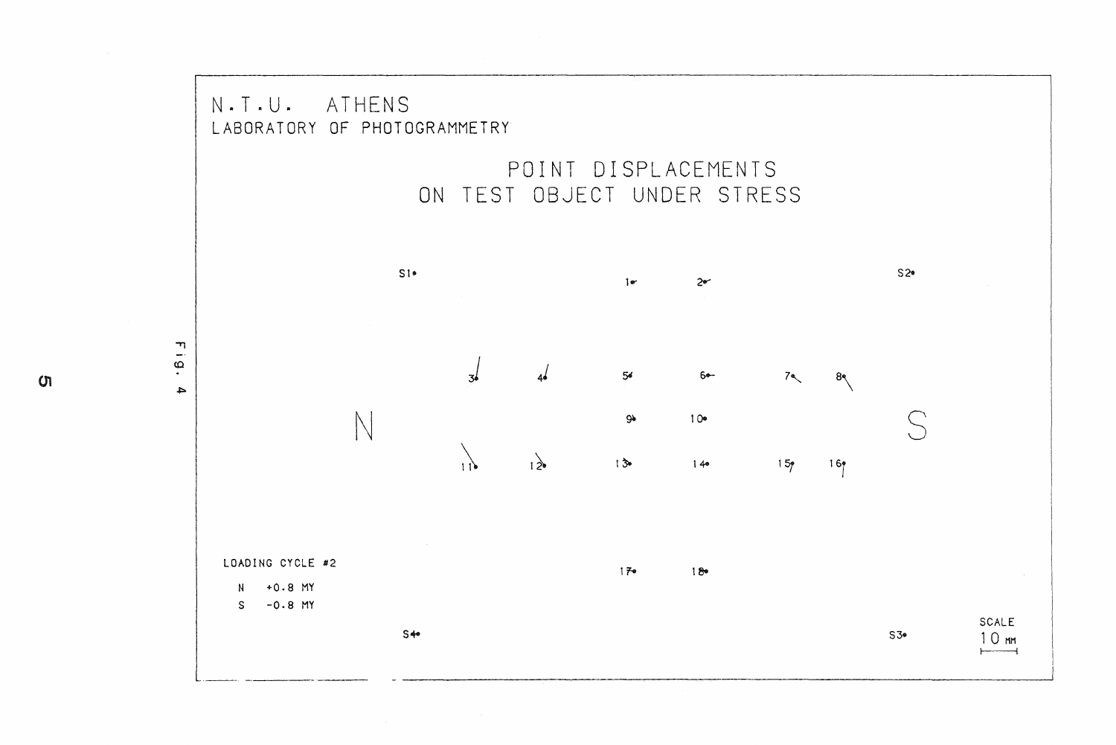

ហ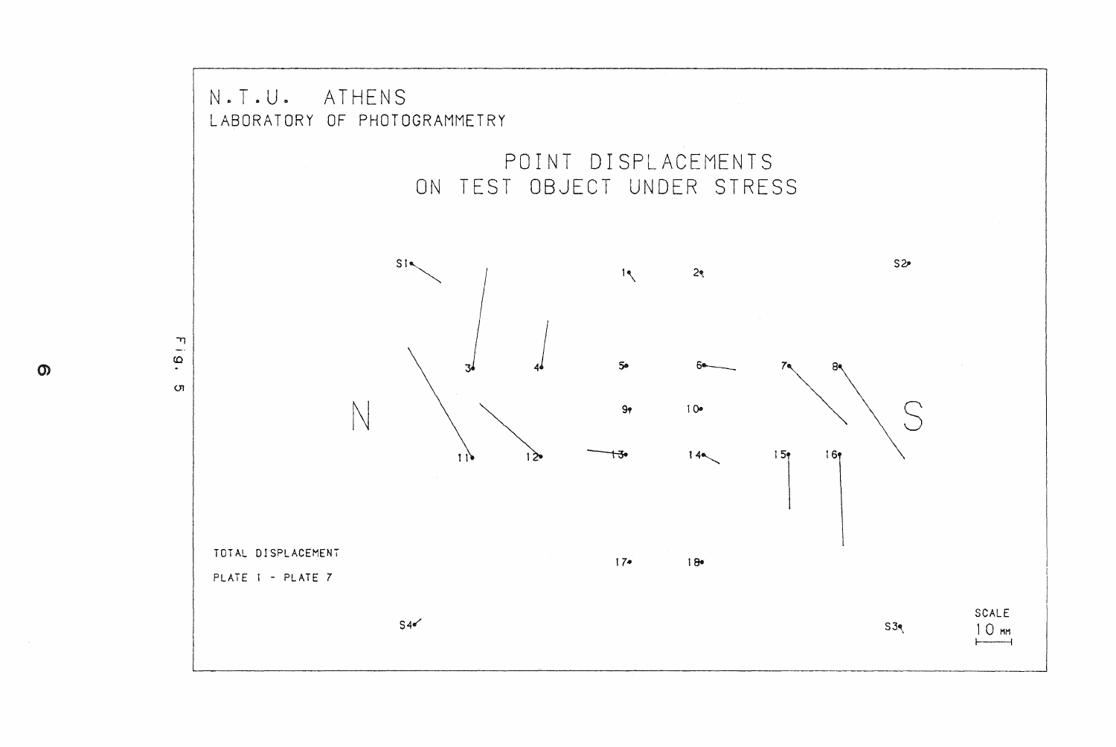

 $\mathsf{O}$